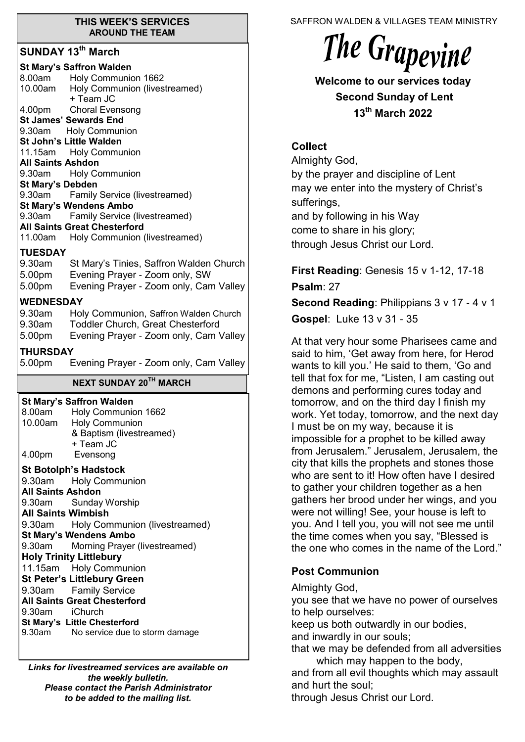#### **THIS WEEK'S SERVICES AROUND THE TEAM**

## **SUNDAY 13th March**

|                                    | <b>St Mary's Saffron Walden</b><br>8.00am Holy Communion 1662           |
|------------------------------------|-------------------------------------------------------------------------|
|                                    | 10.00am Holy Communion (livestreamed)                                   |
|                                    | + Team JC<br>4.00pm Choral Evensong                                     |
| <b>St James' Sewards End</b>       |                                                                         |
|                                    | 9.30am Holy Communion                                                   |
| <b>St John's Little Walden</b>     |                                                                         |
| All Saints Ashdon                  | 11.15am Holy Communion                                                  |
| 9.30am                             | <b>Holy Communion</b>                                                   |
| <b>St Mary's Debden</b>            |                                                                         |
| 9.30am                             | Family Service (livestreamed)                                           |
|                                    | <b>St Mary's Wendens Ambo</b>                                           |
| 9.30am                             | Family Service (livestreamed)                                           |
|                                    | <b>All Saints Great Chesterford</b>                                     |
|                                    | 11.00am Holy Communion (livestreamed)                                   |
| <b>TUESDAY</b>                     |                                                                         |
|                                    | 9.30am St Mary's Tinies, Saffron Walden Church                          |
|                                    | 5.00pm Evening Prayer - Zoom only, SW                                   |
| 5.00pm                             | Evening Prayer - Zoom only, Cam Valley                                  |
| <b>WEDNESDAY</b>                   |                                                                         |
|                                    | 9.30am Holy Communion, Saffron Walden Church                            |
| 9.30am                             | Toddler Church, Great Chesterford                                       |
| 5.00pm                             | Evening Prayer - Zoom only, Cam Valley                                  |
| <b>THURSDAY</b>                    |                                                                         |
|                                    |                                                                         |
|                                    |                                                                         |
| 5.00pm                             | Evening Prayer - Zoom only, Cam Valley<br><b>NEXT SUNDAY 20TH MARCH</b> |
|                                    |                                                                         |
|                                    | <b>St Mary's Saffron Walden</b>                                         |
| 8.00am                             | Holy Communion 1662                                                     |
| 10.00am                            | <b>Holy Communion</b>                                                   |
|                                    | & Baptism (livestreamed)<br>+ Team JC                                   |
|                                    | Evensong                                                                |
| 4.00pm                             |                                                                         |
|                                    | <b>St Botolph's Hadstock</b>                                            |
| 9.30am                             | <b>Holy Communion</b>                                                   |
| <b>All Saints Ashdon</b><br>9.30am | <b>Sunday Worship</b>                                                   |
| <b>All Saints Wimbish</b>          |                                                                         |
|                                    | 9.30am Holy Communion (livestreamed)                                    |
|                                    | <b>St Mary's Wendens Ambo</b>                                           |
| 9.30am                             | Morning Prayer (livestreamed)                                           |
| <b>Holy Trinity Littlebury</b>     |                                                                         |
|                                    | 11.15am Holy Communion                                                  |
|                                    | <b>St Peter's Littlebury Green</b>                                      |
| 9.30am                             | <b>Family Service</b>                                                   |
|                                    | <b>All Saints Great Chesterford</b>                                     |
| 9.30am iChurch                     | St Mary's Little Chesterford                                            |

*Links for livestreamed services are available on the weekly bulletin. Please contact the Parish Administrator to be added to the mailing list.*

SAFFRON WALDEN & VILLAGES TEAM MINISTRY

# The Grapevine

**Welcome to our services today Second Sunday of Lent 13th March 2022**

# **Collect**

Almighty God, by the prayer and discipline of Lent may we enter into the mystery of Christ's sufferings, and by following in his Way come to share in his glory; through Jesus Christ our Lord.

**First Reading**: Genesis 15 v 1-12, 17-18

**Psalm**: 27

**Second Reading**: Philippians 3 v 17 - 4 v 1

**Gospel**: Luke 13 v 31 - 35

At that very hour some Pharisees came and said to him, 'Get away from here, for Herod wants to kill you.' He said to them, 'Go and tell that fox for me, "Listen, I am casting out demons and performing cures today and tomorrow, and on the third day I finish my work. Yet today, tomorrow, and the next day I must be on my way, because it is impossible for a prophet to be killed away from Jerusalem." Jerusalem, Jerusalem, the city that kills the prophets and stones those who are sent to it! How often have I desired to gather your children together as a hen gathers her brood under her wings, and you were not willing! See, your house is left to you. And I tell you, you will not see me until the time comes when you say, "Blessed is the one who comes in the name of the Lord."

# **Post Communion**

Almighty God,

you see that we have no power of ourselves to help ourselves:

keep us both outwardly in our bodies,

and inwardly in our souls;

that we may be defended from all adversities which may happen to the body,

and from all evil thoughts which may assault and hurt the soul;

through Jesus Christ our Lord.